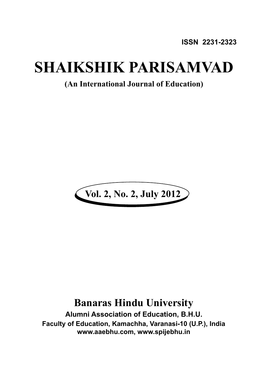**ISSN 2231-2323**

## **SHAIKSHIK PARISAMVAD**

**(An International Journal of Education)**



## **Banaras Hindu University**

**Alumni Association of Education, B.H.U. Faculty of Education, Kamachha, Varanasi-10 (U.P.), India www.aaebhu.com, www.spijebhu.in**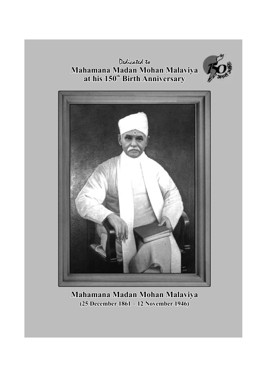Dedicated to **Mahamana Madan Mohan Malaviya at his 150 Birth Anniversary th**





**Mahamana Madan Mohan Malaviya (25 December 1861 – 12 November 1946)**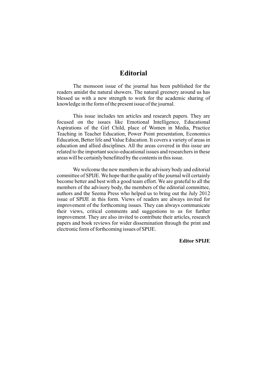## **Editorial**

The monsoon issue of the journal has been published for the readers amidst the natural showers. The natural greenery around us has blessed us with a new strength to work for the academic sharing of knowledge in the form of the present issue of the journal.

This issue includes ten articles and research papers. They are focused on the issues like Emotional Intelligence, Educational Aspirations of the Girl Child, place of Women in Media, Practice Teaching in Teacher Education, Power Point presentation, Economics Education, Better life and Value Education. It covers a variety of areas in education and allied disciplines. All the areas covered in this issue are related to the important socio-educational issues and researchers in these areas will be certainly benefitted by the contents in this issue.

We welcome the new members in the advisory body and editorial committee of SPIJE. We hope that the quality of the journal will certainly become better and best with a good team effort. We are grateful to all the members of the advisory body, the members of the editorial committee, authors and the Seema Press who helped us to bring out the July 2012 issue of SPIJE in this form. Views of readers are always invited for improvement of the forthcoming issues. They can always communicate their views, critical comments and suggestions to us for further improvement. They are also invited to contribute their articles, research papers and book reviews for wider dissemination through the print and electronic form of forthcoming issues of SPIJE.

**Editor SPIJE**